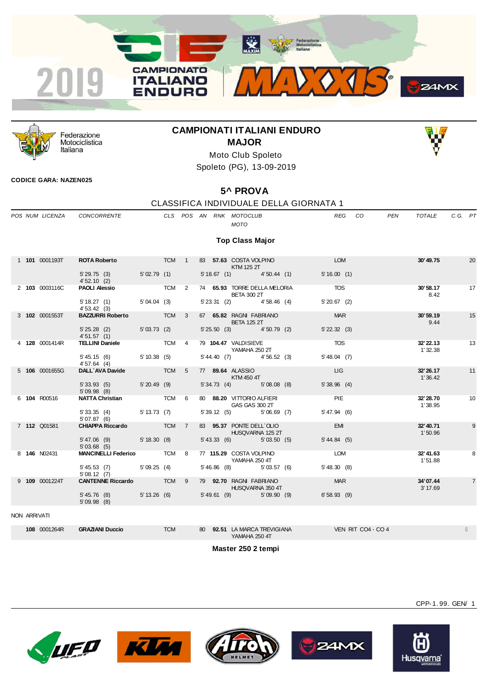



Federazione Motociclistica Italiana

## **CAMPIONATI ITALIANI ENDURO MAJOR**



Moto Club Spoleto Spoleto (PG), 13-09-2019

### **CODICE GARA: NAZEN025**

# **5^ PROVA**

### CLASSIFICA INDIVIDUALE DELLA GIORNATA 1

|              | POS NUM LICENZA | <b>CONCORRENTE</b>                         |              |            |                |  | CLS POS AN RNK MOTOCLUB<br><b>MOTO</b>             | <b>REG</b>         | CO.<br><b>PEN</b> | TOTALE               | C.G. PT |                |
|--------------|-----------------|--------------------------------------------|--------------|------------|----------------|--|----------------------------------------------------|--------------------|-------------------|----------------------|---------|----------------|
|              |                 |                                            |              |            |                |  |                                                    |                    |                   |                      |         |                |
|              |                 |                                            |              |            |                |  | <b>Top Class Major</b>                             |                    |                   |                      |         |                |
|              | 1 101 0001193T  | <b>ROTA Roberto</b>                        | <b>TCM</b> 1 |            |                |  | 83 57.63 COSTA VOLPINO<br>KTM 125 2T               | <b>LOM</b>         |                   | 30'49.75             |         | 20             |
|              |                 | 5' 29.75 (3)<br>4'52.10(2)                 | 5'02.79 (1)  |            |                |  | $5'18.67$ (1) $4'50.44$ (1)                        | 5'16.00(1)         |                   |                      |         |                |
|              | 2 103 0003116C  | <b>PAOLI Alessio</b>                       | TCM 2        |            |                |  | 74 65.93 TORRE DELLA MELORIA<br><b>BETA 300 2T</b> | <b>TOS</b>         |                   | 30'58.17<br>8.42     |         | 17             |
|              |                 | 5' 18.27 (1) 5' 04.04 (3)<br>4'53.42(3)    |              |            |                |  | $5'23.31$ (2) $4'58.46$ (4)                        | $5'20.67$ (2)      |                   |                      |         |                |
|              | 3 102 0001553T  | <b>BAZZURRI Roberto</b> TCM 3              |              |            |                |  | 67 65.82 RAGNI FABRIANO<br><b>BETA 125 2T</b>      | <b>MAR</b>         |                   | 30'59.19<br>9.44     |         | 15             |
|              |                 | 5' 25.28 (2) 5' 03.73 (2)<br>4'51.57(1)    |              |            |                |  | 5' 25.50 (3) 4' 50.79 (2)                          | $5'$ 22.32 (3)     |                   |                      |         |                |
|              | 4 128 0001414R  | <b>TELLINI Daniele</b> TCM 4               |              |            |                |  | 79 104.47 VALDISIEVE<br>YAMAHA 250 2T              | TOS                |                   | 32' 22.13<br>1'32.38 |         | 13             |
|              |                 | $5'45.15(6)$ $5'10.38(5)$<br>4'57.64(4)    |              |            |                |  | $5'44.40$ (7) $4'56.52$ (3)                        | $5'48.04$ (7)      |                   |                      |         |                |
|              | 5 106 0001655G  | DALL AVA Davide                            | <b>TOM</b>   |            | $5^{\circ}$    |  | 77 89.64 ALASSIO<br>KTM 450 4T                     | LIG                |                   | 32' 26.17<br>1'36.42 |         | 11             |
|              |                 | 5' 33.93 (5) 5' 20.49 (9)<br>5'09.98(8)    |              |            |                |  | $5'34.73$ (4) $5'08.08$ (8)                        | 5'38.96(4)         |                   |                      |         |                |
|              | 6 104 R00516    | <b>NATTA Christian</b>                     |              | TCM 6      |                |  | 80 88.20 VITTORIO ALFIERI<br>GAS GAS 300 2T        | PIE                |                   | 32' 28.70<br>1'38.95 |         | 10             |
|              |                 | 5' 33.35 (4) 5' 13.73 (7)<br>5'07.87(6)    |              |            |                |  | 5' 39.12 (5) 5' 06.69 (7)                          | 5' 47.94 (6)       |                   |                      |         |                |
|              | 7 112 Q01581    | CHIAPPA Riccardo TCM                       |              |            | $\overline{7}$ |  | 83 95.37 PONTE DELL'OLIO<br>HUSQVARNA 125 2T       | <b>EMI</b>         |                   | 32'40.71<br>1'50.96  |         | 9              |
|              |                 | 5' 47.06 (9) 5' 18.30 (8)<br>5'03.68(5)    |              |            |                |  | 5' 43.33 (6) 5' 03.50 (5)                          | $5' 44.84$ (5)     |                   |                      |         |                |
|              | 8 146 N02431    | <b>MANCINELLI Federico</b> TCM 8           |              |            |                |  | 77 115.29 COSTA VOLPINO<br>YAMAHA 250 4T           | LOM                |                   | 32'41.63<br>1'51.88  |         | 8              |
|              |                 | $5'45.53$ (7) $5'09.25$ (4)<br>5'08.12(7)  |              |            |                |  | $5'46.86$ (8)<br>5'03.57 (6)                       | 5' 48.30(8)        |                   |                      |         |                |
|              | 9 109 0001224T  | <b>CANTENNE Riccardo TCM 9</b>             |              |            |                |  | 79 92.70 RAGNI FABRIANO<br>HUSQVARNA 350 4T        | <b>MAR</b>         |                   | 34'07.44<br>3' 17.69 |         | $\overline{7}$ |
|              |                 | 5' 45.76 (8) 5' 13.26 (6)<br>$5'09.98$ (8) |              |            |                |  | 5'49.61 (9) 5'09.90 (9)                            | 6'58.93(9)         |                   |                      |         |                |
| NON ARRIVATI |                 |                                            |              |            |                |  |                                                    |                    |                   |                      |         |                |
|              | 108 0001264R    | <b>GRAZIANI Duccio</b>                     |              | <b>TCM</b> |                |  | 80 92.51 LA MARCA TREVIGIANA<br>YAMAHA 250 4T      | VEN RIT CO4 - CO 4 |                   |                      |         |                |

**Master 250 2 tempi**









CPP-1. 99. GEN/ 1

Husqvarna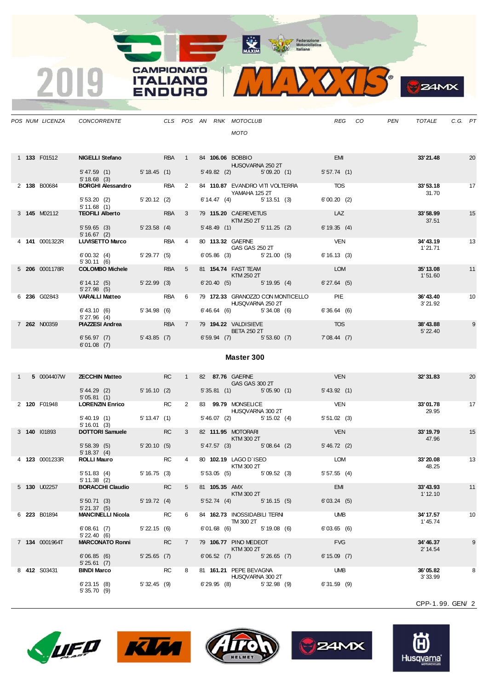**CAMPIONATO** 

**ITALIANO** 

**ENDURO** 

 $\overline{\mathbf{2}}$ 



|  |                     | POS NUM LICENZA CONCORRENTE CLS POS AN RNK MOTOCLUB                               |                |           |              |               | <b>MOTO</b>                                 |                                                     | <b>REG</b>     | CO | PEN | TOTALE                 | C.G. PT         |    |
|--|---------------------|-----------------------------------------------------------------------------------|----------------|-----------|--------------|---------------|---------------------------------------------|-----------------------------------------------------|----------------|----|-----|------------------------|-----------------|----|
|  |                     |                                                                                   |                |           |              |               |                                             |                                                     |                |    |     |                        |                 |    |
|  | 1 <b>133</b> F01512 | NIGELLI Stefano RBA 1                                                             |                |           |              |               | 84 106.06 BOBBIO<br><b>HUSQVARNA 250 2T</b> |                                                     | <b>EMI</b>     |    |     | 33'21.48               |                 | 20 |
|  |                     | 5' 47.59 (1) 5' 18.45 (1)<br>5'18.68(3)                                           |                |           |              |               |                                             | 5' 49.82 (2) 5' 09.20 (1)                           | 5'57.74(1)     |    |     |                        |                 |    |
|  | 2 138 B00684        | <b>BORGHI Alessandro</b> RBA 2                                                    |                |           |              |               | YAMAHA 125 2T                               | 84 110.87 EVANDRO VITI VOLTERRA TOS                 |                |    |     | 33'53.18<br>31.70      | $\overline{17}$ |    |
|  |                     | $5'53.20$ (2) $5'20.12$ (2)<br>$5'11.69$ (1)<br>5'11.68(1)                        |                |           |              |               |                                             | $6' 14.47$ (4) $5' 13.51$ (3) $6' 00.20$ (2)        |                |    |     |                        |                 |    |
|  | 3 <b>145</b> M02112 | <b>TEOFILI Alberto TEOFILI</b>                                                    |                | RBA 3     |              |               | 79 115.20 CAEREVETUS<br><b>KTM 250 2T</b>   |                                                     | <b>LAZ</b>     |    |     | 33'58.99<br>37.51      |                 | 15 |
|  |                     | 5' 59.65 (3) 5' 23.58 (4)<br>5'16.67(2)                                           |                |           |              |               | 5' 48.49 (1) 5' 11.25 (2)                   |                                                     | 6'19.35(4)     |    |     |                        |                 |    |
|  | 4 141 0001322R      | LUVISETTO Marco RBA 4                                                             |                |           |              |               | 80 113.32 GAERNE<br><b>GAS GAS 250 2T</b>   |                                                     | <b>VEN</b>     |    |     | 34'43.19<br>1' 21.71   | $\overline{13}$ |    |
|  |                     | $6'00.32$ (4) $5'29.77$ (5)<br>5'30.11(6)                                         |                |           |              |               | 6'05.86 (3) 5'21.00 (5)                     |                                                     | 6'16.13(3)     |    |     |                        |                 |    |
|  | 5 206 0001178R      | <b>COLOMBO Michele</b> RBA 5                                                      |                |           |              |               | 81 <b>154.74</b> FAST TEAM<br>KTM 250 2T    |                                                     | LOM            |    |     | 35' 13.08<br>1'51.60   |                 | 11 |
|  |                     | $6'14.12(5)$ $5'22.99(3)$<br>5'27.98(5)                                           |                |           |              |               |                                             | 6'20.40 (5) 5'19.95 (4) 6'27.64 (5)                 |                |    |     |                        |                 |    |
|  | 6 236 G02843        | VARALLI Matteo RBA 6                                                              |                |           |              |               | <b>HUSQVARNA 250 2T</b>                     | 79 172.33 GRANOZZO CON MONTICELLO PIE               |                |    |     | 36'43.40<br>3' 21.92   |                 | 10 |
|  |                     | 6' 43.10 (6) 5' 34.98 (6)<br>5'27.96(4)                                           |                |           |              |               |                                             | $6'46.64$ (6) $5'34.08$ (6)                         | 6'36.64(6)     |    |     |                        |                 |    |
|  | 7 262 N00359        | <b>PIAZZESI Andrea</b><br><b>RBA</b> 7 79 <b>194.22</b> VALDISIEVE<br>BETA 250 2T |                |           |              |               |                                             |                                                     | <b>TOS</b>     |    |     | 38'43.88<br>5' 22.40   |                 | 9  |
|  |                     | 6'56.97 (7) 5'43.85 (7) 6'59.94 (7) 5'53.60 (7) 7'08.44 (7)<br>6'01.08(7)         |                |           |              |               |                                             |                                                     |                |    |     |                        |                 |    |
|  |                     |                                                                                   |                |           |              |               | Master 300                                  |                                                     |                |    |     |                        |                 |    |
|  | 1 5 0004407W        | <b>ZECCHIN Matteo</b> RC 1                                                        |                |           |              |               | 82 87.76 GAERNE<br>GAS GAS 300 2T           |                                                     | <b>VEN</b>     |    |     | 32'31.83               |                 | 20 |
|  |                     | 5' 44.29 (2) 5' 16.10 (2)<br>5'05.81(1)                                           |                |           |              |               |                                             | 5'35.81 (1) 5'05.90 (1)                             | 5' 43.92(1)    |    |     |                        |                 |    |
|  | 2 120 F01948        | LORENZIN Enrico RC                                                                |                |           | $\mathbf{2}$ |               | 83 99.79 MONSELICE<br>HUSQVARNA 300 2T      |                                                     | <b>VEN</b>     |    |     | 33'01.78<br>29.95      |                 | 17 |
|  |                     | 5' 40.19 (1) 5' 13.47 (1)<br>5'16.01(3)                                           |                |           |              |               | 5' 46.07 (2) 5' 15.02 (4)                   |                                                     | 5'51.02(3)     |    |     |                        |                 |    |
|  | 3 140 101893        | DOTTORI Samuele RC                                                                |                |           | $3^{\circ}$  |               | 82 111.95 MOTORARI<br>KTM 300 2T            |                                                     | <b>VEN</b>     |    |     | 33' 19.79<br>47.96     |                 | 15 |
|  |                     | 5' 58.39 (5) 5' 20.10 (5)<br>5'18.37(4)                                           |                |           |              |               |                                             | 5' 47.57 (3) 5' 08.64 (2) 5' 46.72 (2)              |                |    |     |                        |                 |    |
|  | 4 123 0001233R      | <b>ROLLI Mauro</b>                                                                | RC 4           |           |              |               | 80 102.19 LAGO D'ISEO<br><b>KTM 300 2T</b>  |                                                     | <b>LOM</b>     |    |     | 33'20.08<br>48.25      |                 | 13 |
|  |                     | 5' 51.83 (4)<br>5' 11.38 (2)                                                      |                |           |              |               |                                             | 5' 16.75 (3) 5' 53.05 (5) 5' 09.52 (3) 5' 57.55 (4) |                |    |     |                        |                 |    |
|  | 5 <b>130</b> U02257 | <b>BORACCHI Claudio</b>                                                           |                | <b>RC</b> | 5            | 81 105.35 AMX | $KTM$ 300 2T                                |                                                     | EMI            |    |     | 33'43.93<br>$1'$ 12.10 |                 | 11 |
|  |                     | 5' 50.71 (3) 5' 19.72 (4)<br>5'21.37(5)                                           |                |           |              |               |                                             | 5' 52.74 (4) 5' 16.15 (5)                           | 6'03.24(5)     |    |     |                        |                 |    |
|  | 6 223 B01894        | <b>MANCINELLI Nicola</b> RC                                                       |                |           | 6            |               | 84 162.73 INOSSIDABILI TERNI<br>TM 300 2T   |                                                     | <b>UMB</b>     |    |     | 34' 17.57<br>1' 45.74  |                 | 10 |
|  |                     | 6'08.61(7)<br>$5'$ 22.40 (6)                                                      | $5'$ 22.15 (6) |           |              |               | 6'01.68 (6) 5'19.08 (6)                     |                                                     | 6'03.65(6)     |    |     |                        |                 |    |
|  | 7 134 0001964T      | <b>MARCONATO Ronni</b> RC                                                         |                |           | 7            |               | 79 106.77 PINO MEDEOT<br>$KTM$ 300 2T       |                                                     | <b>FVG</b>     |    |     | 34'46.37<br>2' 14.54   |                 | 9  |
|  |                     | 6'06.85(6)<br>5'25.61(7)                                                          | 5'25.65(7)     |           |              |               | 6'06.52 (7) 5'26.65 (7)                     |                                                     | $6' 15.09$ (7) |    |     |                        |                 |    |
|  | 8 412 S03431        | <b>BINDI Marco</b>                                                                | <b>RC</b>      |           | 8            |               | 81 161.21 PEPE BEVAGNA<br>HUSQVARNA 300 2T  |                                                     | <b>UMB</b>     |    |     | 36'05.82<br>3' 33.99   |                 | 8  |
|  |                     | $6'$ 23.15 $(8)$<br>5'35.70(9)                                                    | 5' 32.45 (9)   |           |              |               | 6'29.95 (8) 5'32.98 (9)                     |                                                     | $6'31.59$ (9)  |    |     |                        |                 |    |

CPP-1. 99. GEN/ 2









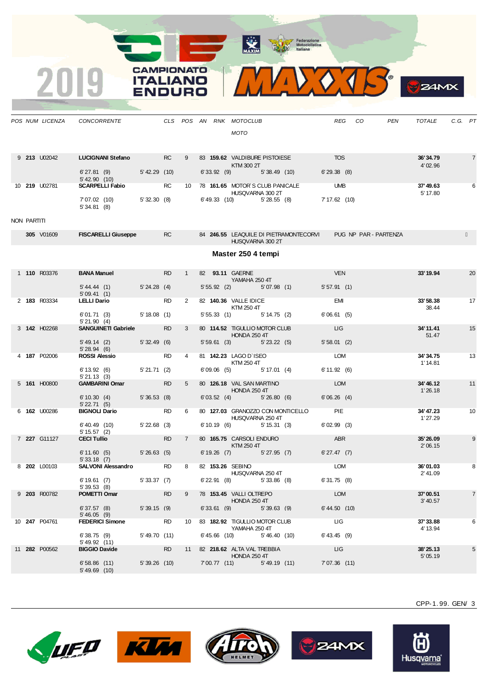¥

CAMPIONATO **ITALIANO** 

INIDC



CPP-1. 99. GEN/ 3









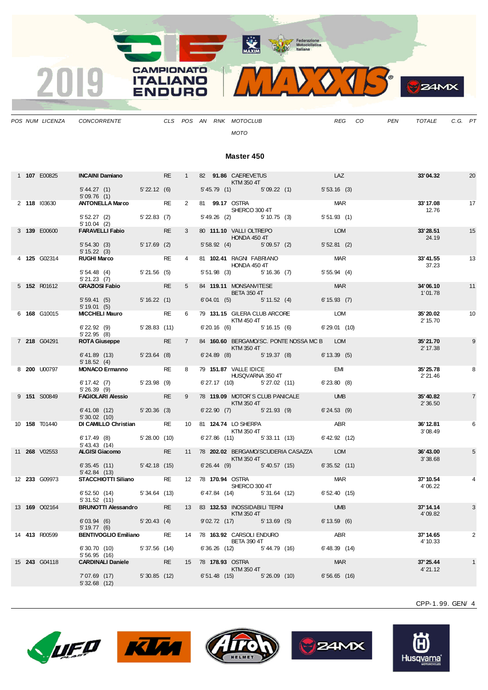

*POS NUM LICENZA CONCORRENTE CLS POS AN RNK MOTOCLUB REG CO PEN TOTALE C.G. PT MOTO*

### **Master 450**

|  | 1 107 E00825         | INCAINI Damiano                                                                                                                                                                                                                      |           | RE 1 82 91.86 CAEREVETUS   | $KTM$ 350 4T                   |                                              | LAZ                        | 33'04.32              | 20             |
|--|----------------------|--------------------------------------------------------------------------------------------------------------------------------------------------------------------------------------------------------------------------------------|-----------|----------------------------|--------------------------------|----------------------------------------------|----------------------------|-----------------------|----------------|
|  |                      | 5'44.27 (1) 5'22.12 (6)<br>5'09.76(1)                                                                                                                                                                                                |           |                            |                                | 5'45.79 (1) 5'09.22 (1)                      | 5'53.16(3)                 |                       |                |
|  | 2 118 103630         | <b>ANTONELLA Marco</b>                                                                                                                                                                                                               | <b>RE</b> | 2 81 99.17 OSTRA           | SHERCO 300 4T                  |                                              | <b>MAR</b>                 | 33'17.08<br>12.76     | 17             |
|  |                      | 5' 52.27 (2) 5' 22.83 (7)<br>5'10.04(2)                                                                                                                                                                                              |           |                            | 5' 49.26 (2) 5' 10.75 (3)      |                                              | 5'51.93(1)                 |                       |                |
|  | 3 139 E00600         | <b>FARAVELLI Fabio</b>                                                                                                                                                                                                               | <b>RE</b> | 3 80 111.10 VALLI OLTREPO  | <b>HONDA 450 4T</b>            |                                              | <b>EXAMPLE DESCRIPTION</b> | 33'28.51<br>24.19     | 15             |
|  |                      | 5' 54.30 (3) 5' 17.69 (2)<br>5' 15.22(3)                                                                                                                                                                                             |           |                            |                                | 5' 58.92 (4) 5' 09.57 (2)                    | 5'52.81(2)                 |                       |                |
|  | 4 125 G02314         | <b>RUGHI Marco</b>                                                                                                                                                                                                                   | <b>RE</b> | 4 81 102.41 RAGNI FABRIANO | HONDA 450 4T                   |                                              | <b>MAR</b>                 | 33'41.55<br>37.23     | 13             |
|  |                      | 5' 54.48 (4) 5' 21.56 (5)<br>5'21.23(7)                                                                                                                                                                                              |           |                            |                                | 5' 51.98 (3) 5' 16.36 (7)                    | 5'55.94(4)                 |                       |                |
|  | 5 152 R01612         | <b>GRAZIOSI Fabio CRAZIOSI Fabio</b>                                                                                                                                                                                                 | <b>RE</b> | 5 84 119.11 MONSANVITESE   | <b>EXAMPLE THE BETA 350 4T</b> |                                              | <b>MARCOR MARCOR</b>       | 34'06.10<br>1'01.78   | 11             |
|  |                      | $5'59.41(5)$ $5'16.22(1)$<br>5'19.01(5)                                                                                                                                                                                              |           |                            |                                | 6'04.01 (5) 5'11.52 (4)                      | 6'15.93(7)                 |                       |                |
|  | 6 168 G10015         | <b>MICCHELI Mauro</b>                                                                                                                                                                                                                | <b>RE</b> |                            | <b>KTM 450 4T</b>              | 6 79 131.15 GILERA CLUB ARCORE               | LOM                        | 35' 20.02<br>2' 15.70 | 10             |
|  |                      | $6'$ 22.92 (9) $5'$ 28.83 (11)<br>$5'$ 22.95 $(8)$                                                                                                                                                                                   |           |                            |                                | $6'20.16$ (6) $5'16.15$ (6)                  | 6'29.01(10)                |                       |                |
|  | 7 218 G04291         | <b>ROTA Giuseppe Entrancement Control Control Control Control Control Control Control Control Control Control Control Control Control Control Control Control Control Control Control Control Control Control Control Control Co</b> | <b>RE</b> |                            | <b>Example 12 KTM 350 4T</b>   | 7 84 160.60 BERGAMO/SC. PONTE NOSSA MC B LOM |                            | 35'21.70<br>2' 17.38  | 9              |
|  |                      | 6'41.89 (13) 5'23.64 (8)<br>5' 18.52(4)                                                                                                                                                                                              |           |                            |                                | 6' 24.89 (8) 5' 19.37 (8)                    | 6'13.39(5)                 |                       |                |
|  | 8 200 U00797         | <b>MONACO Ermanno</b>                                                                                                                                                                                                                | <b>RE</b> | 8 79 151.87 VALLE IDICE    |                                | 151.87 VALLE IDICE<br>HUSQVARNA 350 4T       | <b>EMI</b>                 | 35'25.78<br>2' 21.46  | 8              |
|  |                      | 6' 17.42 (7) 5' 23.98 (9)<br>5'26.39(9)                                                                                                                                                                                              |           |                            |                                | 6' 27.17 (10) 5' 27.02 (11) 6' 23.80 (8)     |                            |                       |                |
|  | 9 151 S00849         | FAGIOLARI Alessio RE                                                                                                                                                                                                                 |           |                            | $KTM$ 350 4T                   | 9 78 119.09 MOTOR'S CLUB PANICALE UMB        |                            | 35'40.82<br>2'36.50   | $\overline{7}$ |
|  |                      | $6'41.08$ (12) $5'20.36$ (3)<br>$5'30.02$ (10)                                                                                                                                                                                       |           |                            |                                | 6' 22.90 (7) 5' 21.93 (9) 6' 24.53 (9)       |                            |                       |                |
|  | 10 <b>158</b> T01440 | DI CAMILLO Christian                                                                                                                                                                                                                 | <b>RE</b> | 10 81 124.74 LO SHERPA     | KTM 350 4T                     | ABR <sub>2</sub>                             |                            | 36' 12.81<br>3'08.49  | 6              |
|  |                      | 6' 17.49 (8) 5' 28.00 (10)<br>$5' 43.43$ (14)                                                                                                                                                                                        |           |                            |                                | 6'27.86 (11) 5'33.11 (13) 6'42.92 (12)       |                            |                       |                |
|  | 11 <b>268</b> V02553 | ALGISI Giacomo RE                                                                                                                                                                                                                    |           |                            | <b>Example 12 KTM 350 4T</b>   | 11 78 202.02 BERGAMO/SCUDERIA CASAZZA LOM    |                            | 36'43.00<br>3'38.68   | 5              |
|  |                      | $6'35.45$ (11) $5'42.18$ (15)<br>5' 42.84(13)                                                                                                                                                                                        |           |                            | 6'26.44 (9) 5'40.57 (15)       |                                              | 6'35.52(11)                |                       |                |
|  | 12 233 G09973        | <b>STACCHIOTTI Siliano</b> RE                                                                                                                                                                                                        |           | 12 78 170.94 OSTRA         | SHERCO 300 4T                  |                                              | <b>MAR</b>                 | 37' 10.54<br>4'06.22  |                |
|  |                      | $6'52.50(14)$ $5'34.64(13)$<br>5'31.52(11)                                                                                                                                                                                           |           |                            |                                | 6' 47.84 (14) 5' 31.64 (12) 6' 52.40 (15)    |                            |                       |                |
|  | 13 <b>169</b> Q02164 | <b>BRUNOTTI Alessandro</b> RE                                                                                                                                                                                                        |           |                            | <b>EXTM 350 4T</b>             | 13 83 132.53 INOSSIDABILI TERNI UMB          |                            | 37' 14.14<br>4'09.82  | 3              |
|  |                      | $6'03.94$ (6) $5'20.43$ (4)<br>5'19.77(6)                                                                                                                                                                                            |           |                            | 9'02.72 (17) 5'13.69 (5)       |                                              | 6'13.59(6)                 |                       |                |
|  | 14 413 R00599        | <b>BENTIVOGLIO Emiliano</b>                                                                                                                                                                                                          |           |                            | <b>BETA 390 4T</b>             | RE 14 78 163.92 CARSOLI ENDURO ABR           |                            | 37' 14.65<br>4' 10.33 | $\mathbf{2}$   |
|  |                      | 6' 30.70 (10) 5' 37.56 (14)<br>5'56.95(16)                                                                                                                                                                                           |           |                            |                                | 6'36.26 (12) 5'44.79 (16)                    | 6' 48.39 (14)              |                       |                |
|  | 15 243 G04118        | <b>CARDINALI Daniele</b>                                                                                                                                                                                                             |           | RE 15 78 178.93 OSTRA      | <b>Example 25 KTM 350 4T</b>   |                                              | <b>MAR</b>                 | 37' 25.44<br>4'21.12  |                |
|  |                      | 7'07.69 (17)<br>5'32.68(12)                                                                                                                                                                                                          |           |                            |                                | 5'30.85 (12) 6'51.48 (15) 5'26.09 (10)       | $6'56.65$ (16)             |                       |                |







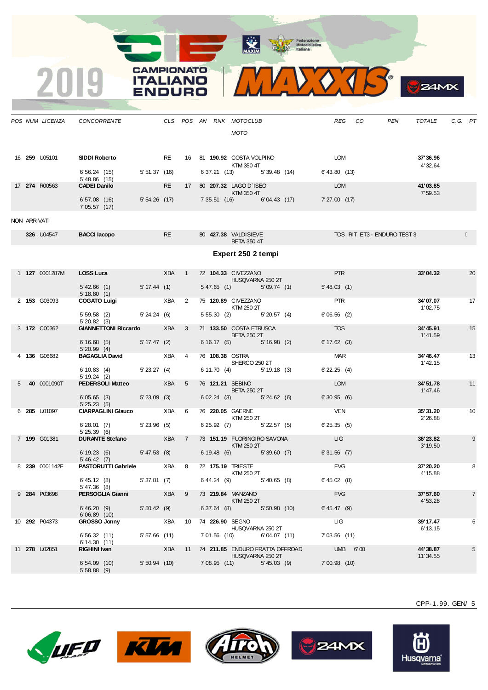X

CAMPIONATO **ITALIANO** 

INIDC



**LUEO KU** 









Husq<u>varna</u>

CPP-1. 99. GEN/ 5

 $24M<sub>X</sub>$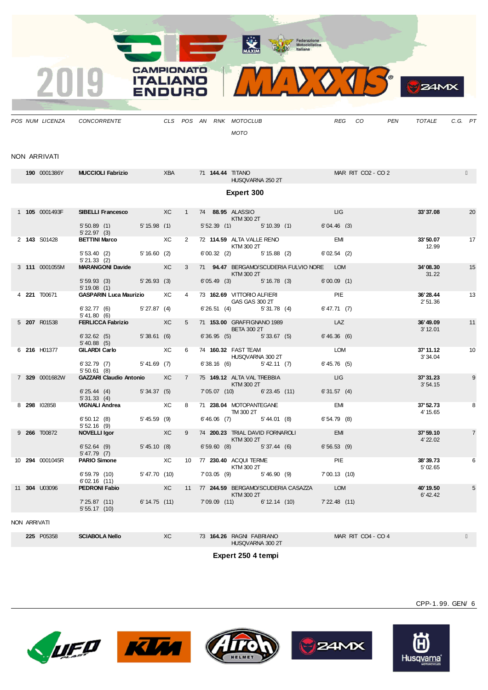

*POS NUM LICENZA CONCORRENTE CLS POS AN RNK MOTOCLUB REG CO PEN TOTALE C.G. PT MOTO*

#### NON ARRIVATI

|  | 190 0001386Y    | <b>MUCCIOLI Fabrizio</b>                     |                   | XBA            |                 |             | 71 144.44 TITANO<br>HUSQVARNA 250 2T                  |                   |                                           |                          | MAR RIT CO2 - CO 2 |                       |                |
|--|-----------------|----------------------------------------------|-------------------|----------------|-----------------|-------------|-------------------------------------------------------|-------------------|-------------------------------------------|--------------------------|--------------------|-----------------------|----------------|
|  |                 |                                              |                   |                |                 |             | Expert 300                                            |                   |                                           |                          |                    |                       |                |
|  | 1 105 0001493F  | SIBELLI Francesco XC                         |                   |                | 1               |             | 74 88.95 ALASSIO<br>KTM 300 2T                        |                   |                                           | LIG                      |                    | 33'37.08              | 20             |
|  |                 | $5'50.89$ (1)<br>$5'$ 22.97 (3)              | $5' 15.98$ (1)    |                |                 |             | 5'52.39(1)                                            |                   | $5' 10.39$ (1)                            | 6'04.46(3)               |                    |                       |                |
|  | 2 143 S01428    | <b>BETTINI Marco</b><br>5'53.40(2)           | 5'16.60(2)        | XC             | $\mathbf{2}$    |             | 72 114.59 ALTA VALLE RENO<br>KTM 300 2T<br>6'00.32(2) | $5' 15.88$ (2)    |                                           | <b>EMI</b><br>6'02.54(2) |                    | 33'50.07<br>12.99     | 17             |
|  |                 | 5'21.33(2)                                   |                   |                |                 |             |                                                       |                   |                                           |                          |                    |                       |                |
|  | 3 111 0001055M  | MARANGONI Davide XC                          |                   |                | 3               |             | KTM 300 2T                                            |                   | 71 94.47 BERGAMO/SCUDERIA FULVIO NORE LOM |                          |                    | 34'08.30<br>31.22     | 15             |
|  |                 | 5'59.93(3)<br>5' 19.08 (1)                   | 5'26.93(3)        |                |                 |             | 6'05.49(3)                                            |                   | $5' 16.78$ (3)                            | 6'00.09(1)               |                    |                       |                |
|  | 4 221 T00671    | <b>GASPARIN Luca Maurizio</b>                |                   | XC             | $\overline{4}$  |             | 73 162.69 VITTORIO ALFIERI<br>GAS GAS 300 2T          |                   |                                           | PIE                      |                    | 36'28.44<br>2'51.36   | 13             |
|  |                 | $6' 32.77$ (6) $5' 27.87$ (4)<br>5' 41.80(6) |                   |                |                 |             | 6'26.51(4)                                            | 5'31.78(4)        |                                           | 6' 47.71 (7)             |                    |                       |                |
|  | 5 207 R01538    | FERLICCA Fabrizio XC                         |                   |                | 5               |             | 71 153.00 GRAFFIGNANO 1989<br><b>BETA 300 2T</b>      |                   |                                           | LAZ                      |                    | 36'49.09<br>3' 12.01  | 11             |
|  |                 | 6'32.62(5)<br>$5'$ 40.88 (5)                 | 5'38.61(6)        |                |                 |             | 6'36.95(5)                                            | 5'33.67(5)        |                                           | 6'46.36(6)               |                    |                       |                |
|  | 6 216 H01377    | <b>GILARDI Carlo</b>                         | <b>Example 20</b> |                | 6               |             | 74 160.32 FAST TEAM<br>HUSQVARNA 300 2T               |                   |                                           | LOM                      |                    | 37'11.12<br>3'34.04   | 10             |
|  |                 | 6'32.79(7)<br>5'50.61(8)                     | $5' 41.69$ (7)    |                |                 |             | 6'38.16(6)                                            | 5' 42.11(7)       |                                           | 6' 45.76(5)              |                    |                       |                |
|  | 7 329 0001682W  | <b>GAZZARI Claudio Antonio</b>               |                   | XC             | $7^{\circ}$     |             | 75 149.12 ALTA VAL TREBBIA<br>KTM 300 2T              |                   |                                           | LIG.                     |                    | 37' 31.23<br>3'54.15  | 9              |
|  |                 | 6'25.44(4)<br>5'31.33(4)                     | 5'34.37(5)        |                |                 |             | 7'05.07 (10)                                          | $6'$ 23.45 $(11)$ |                                           | 6'31.57(4)               |                    |                       |                |
|  | 8 298 102858    | <b>VIGNALI Andrea</b>                        |                   | XC             | 8               |             | 71 238.04 MOTOPANTEGANE<br>TM 300 2T                  |                   |                                           | EMI                      |                    | 37' 52.73<br>4' 15.65 | 8              |
|  |                 | 6'50.12(8)<br>5'52.16(9)                     | $5' 45.59$ (9)    |                |                 |             | $6'46.06$ (7)                                         | 5' 44.01 (8)      |                                           | 6'54.79(8)               |                    |                       |                |
|  | 9 266 T00872    | <b>NOVELLI Igor</b>                          |                   | XC             | 9               |             | 74 200.23 TRIAL DAVID FORNAROLI<br>KTM 300 2T         |                   |                                           | <b>EMI</b>               |                    | 37'59.10<br>4' 22.02  | $\overline{7}$ |
|  |                 | 6'52.64(9)<br>$5' 47.79$ (7)                 | 5' 45.10(8)       |                |                 |             | $6'59.60$ $(8)$                                       | 5'37.44(6)        |                                           | 6'56.53(9)               |                    |                       |                |
|  | 10 294 0001045R | <b>PARIO Simone</b>                          |                   | XC             | 10 <sup>1</sup> |             | 77 230.40 ACQUITERME<br>KTM 300 2T                    |                   |                                           | PIE                      |                    | 38'39.73<br>5' 02.65  | 6              |
|  |                 | 6' 59.79 (10)<br>6'02.16(11)                 | 5'47.70 (10)      |                |                 |             | 7'03.05(9)                                            |                   | 5'46.90(9)                                | 7'00.13' (10)            |                    |                       |                |
|  | 11 304 U03096   | <b>PEDRONI Fabio</b>                         |                   | X <sup>C</sup> |                 |             | KTM 300 2T                                            |                   | 11 77 244.59 BERGAMO/SCUDERIA CASAZZA     | <b>LOM</b>               |                    | 40' 19.50<br>6'42.42  | 5              |
|  |                 | 725.87(11)<br>5'55.17(10)                    | 6' 14.75 (11)     |                |                 | 7'09.09(11) |                                                       | $6' 12.14$ (10)   |                                           | 7'22.48(11)              |                    |                       |                |

NON ARRIVATI

**225** P05358 **SCIABOLA Nello** XC 73 **164.26** RAGNI FABRIANO MAR RIT CO4 - CO 4

HUSQVARNA 300 2T

**Expert 250 4 tempi**









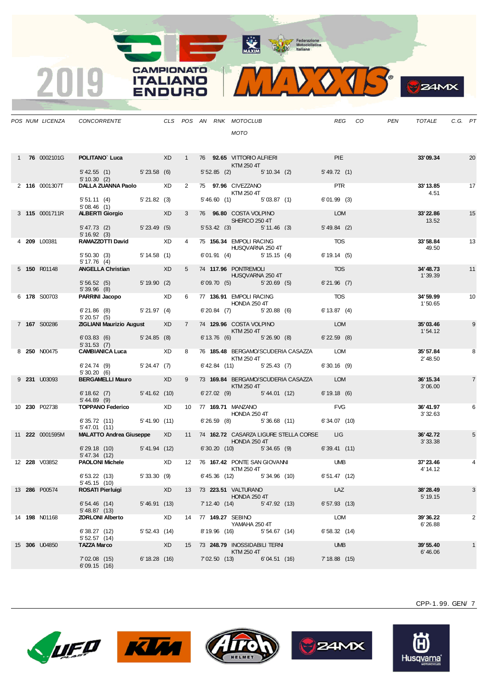

**B**ZAMX

| <b>PIE</b><br><b>POLITANO`Luca</b> XD 1 76 92.65 VITTORIO ALFIERI<br>1 76 0002101G                                                                               |                       |                |
|------------------------------------------------------------------------------------------------------------------------------------------------------------------|-----------------------|----------------|
| KTM 250 4T<br>$5'42.55(1)$ $5'23.58(6)$<br>5' 52.85 (2) 5' 10.34 (2) 5' 49.72 (1)                                                                                | 33'09.34              | 20             |
| 5'10.30(2)<br>DALLA ZUANNA Paolo XD<br>2 75 97.96 CIVEZZANO<br><b>PTR</b><br>2 116 0001307T                                                                      | 33' 13.85             | 17             |
| KTM 250 4T<br>5' 51.11 (4) 5' 21.82 (3)<br>$5'46.60$ (1) $5'03.87$ (1)<br>6'01.99(3)<br>5'08.46(1)                                                               | 4.51                  |                |
| <b>ALBERTI Giorgio</b> XD<br>76 96.80 COSTA VOLPINO DEL COMPRESSIONE DE LOMB<br>3 115 0001711R<br>$3^{\circ}$<br>SHERCO 250 4T                                   | 33'22.86<br>13.52     | 15             |
| 5'47.73 (2) 5'23.49 (5)<br>5'53.42(3)<br>$5' 49.84$ (2)<br>5' 11.46 (3)<br>5'16.92(3)                                                                            |                       |                |
| <b>TOS</b><br>RAMAZZOTTI David XD<br>75 156.34 EMPOLI RACING<br>HUSQVARNA 250 4T<br>4 209 L00381<br>4                                                            | 33'58.84<br>49.50     | 13             |
| $5'50.30(3)$ $5'14.58(1)$<br>6'01.91 (4) 5'15.15 (4)<br>6'19.14(5)<br>$5' 17.76$ (4)                                                                             |                       |                |
| <b>TOS</b><br>5 74 117.96 PONTREMOLI<br>ANGELLA Christian XD<br>5 150 R01148<br><b>HUSQVARNA 250 4T</b><br>5' 56.52 (5) 5' 19.90 (2)<br>$6'21.96$ (7)            | 34'48.73<br>1'39.39   | 11             |
| 6'09.70 (5) 5'20.69 (5)<br>5'39.96 (8)<br><b>PARRINI Jacopo XD</b><br>77 136.91 EMPOLI RACING<br><b>TOS</b><br>6 178 S00703<br>6                                 | 34'59.99              | 10             |
| <b>HONDA 250 4T</b><br>$6'$ 21.86 (8) $5'$ 21.97 (4)<br>$6'20.84$ (7) $5'20.88$ (6) $6'13.87$ (4)                                                                | 1'50.65               |                |
| 5'20.57(5)<br><b>LOM</b><br><b>ZIGLIANI Maurizio August XD</b><br>7 74 129.96 COSTA VOLPINO<br>7 167 S00286                                                      | 35'03.46              | 9              |
| KTM 250 4T<br>6'03.83 (6) 5'24.85 (8)<br>6' 13.76 (6) 5' 26.90 (8) 6' 22.59 (8)<br>5'31.53(7)                                                                    | 1'54.12               |                |
| 76 185.48 BERGAMO/SCUDERIA CASAZZA LOM<br>8 <b>250</b> N00475<br>8<br>KTM 250 4T                                                                                 | 35' 57.84<br>2' 48.50 | 8              |
| 6' 24.74 (9) 5' 24.47 (7)<br>6' 42.84 (11) 5' 25.43 (7) 6' 30.16 (9)<br>5'30.20(6)                                                                               |                       |                |
| BERGAMELLI Mauro XD<br>$9^{\circ}$<br>73 169.84 BERGAMO/SCUDERIA CASAZZA LOM<br>9 231 U03093<br>KTM 250 4T                                                       | 36' 15.34<br>3'06.00  | $\overline{7}$ |
| 6'18.62 (7) 5'41.62 (10)<br>6' 27.02 (9) 5' 44.01 (12) 6' 19.18 (6)<br>$5' 44.89$ (9)                                                                            | 36'41.97              |                |
| <b>FVG</b><br>TOPPANO Federico XD 10 77 169.71 MANZANO<br>10 230 P02738<br>HONDA 250 4T<br>6' 26.59 (8) 5' 36.68 (11) 6' 34.07 (10)<br>6'35.72 (11) 5'41.90 (11) | 3'32.63               | 6              |
| 5'47.01(11)<br>MALATTO Andrea Giuseppe XD<br>11 74 162.72 CASARZA LIGURE STELLA CORSE LIG<br>11 222 0001595M                                                     | 36'42.72              | 5              |
| <b>HONDA 250 4T</b><br>6'30.20 (10) 5'34.65 (9) 6'39.41 (11)<br>6' 29.18 (10) 5' 41.94 (12)                                                                      | 3' 33.38              |                |
| 5' 47.34 (12)<br>PAOLONI Michele XD 12 76 167.42 PONTE SAN GIOVANNI UMB<br>12 228 V03852                                                                         | 37' 23.46             |                |
| KTM 250 4T<br>5'33.30 (9) 6'45.36 (12) 5'34.96 (10) 6'51.47 (12)<br>6' 53.22 (13)<br>5' 45.15 (10)                                                               | 4' 14.12              |                |
| 13 286 P00574<br><b>ROSATI Pierluigi</b><br>XD<br>13 73 223.51 VALTURANO<br>LAZ<br>HONDA 250 4T                                                                  | 38'28.49<br>5' 19.15  | 3              |
| 6'54.46 (14)<br>5'46.91(13)<br>7' 12.40 (14) 5' 47.92 (13)<br>$6'57.93$ (13)<br>5' 48.87(13)                                                                     |                       |                |
| LOM<br><b>Example 20</b><br>14 77 149.27 SEBINO<br>14 <b>198</b> N01168<br><b>ZORLONI Alberto</b><br>YAMAHA 250 4T                                               | 39'36.22<br>6'26.88   | 2              |
| 6'38.27 (12)<br>5'52.43(14)<br>8'19.96 (16) 5'54.67 (14)<br>6'58.32(14)<br>5' 52.57 (14)                                                                         | 39' 55.40             | $\mathbf{1}$   |
| <b>TAZZA Marco</b><br><b>Express</b><br>15 73 248.79 INOSSIDABILI TERNI<br><b>UMB</b><br>15 306 U04850                                                           |                       |                |

**CAMPIONATO** 

**ITALIANO** 

**ENDURO** 

2019









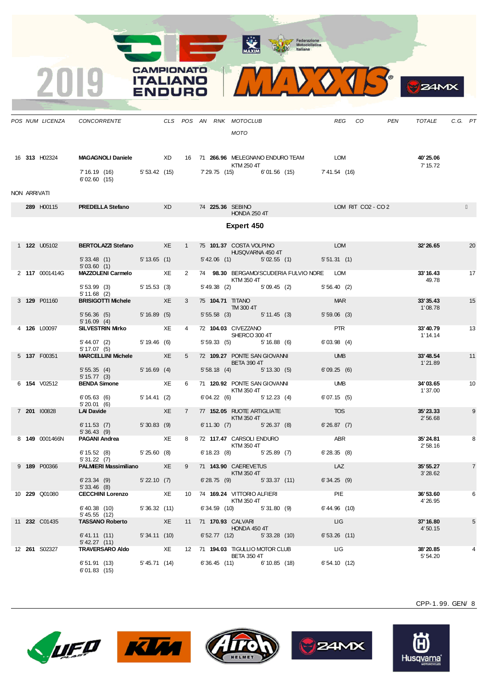X















CPP-1. 99. GEN/ 8

 $24M<sub>X</sub>$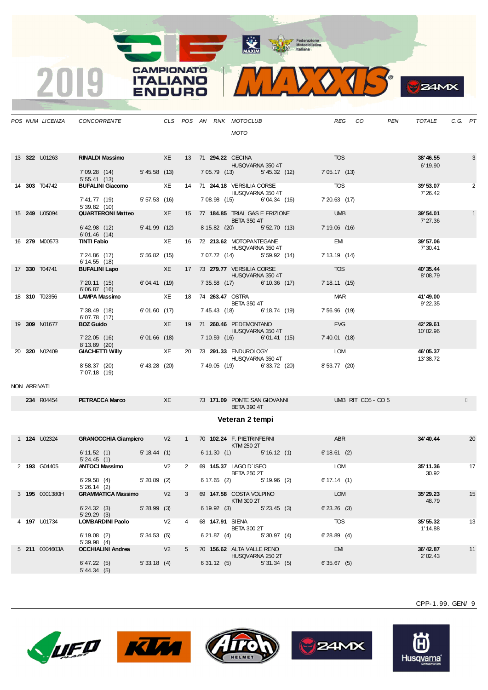**CAMPIONATO** 

**ITALIANO** 

**ENDURO** 

2019



|              | POS NUM LICENZA      | CONCORRENTE                                                         |                      |                |                | CLS POS AN RNK MOTOCLUB<br>MOTO                         |                             |                             | REG CO             | PEN | TOTALE                | C.G. PT |    |
|--------------|----------------------|---------------------------------------------------------------------|----------------------|----------------|----------------|---------------------------------------------------------|-----------------------------|-----------------------------|--------------------|-----|-----------------------|---------|----|
|              | 13 322 U01263        | RINALDI Massimo XE 13 71 294.22 CECINA<br>7'09.28 (14) 5'45.58 (13) |                      |                |                | HUSQVARNA 350 4T                                        | 7'05.79 (13) 5'45.32 (12)   | <b>TOS</b><br>7' 05.17 (13) |                    |     | 38'46.55<br>6' 19.90  |         | 3  |
|              | 14 303 T04742        | 5'55.41(13)<br>5.55.41 (13)<br><b>BUFALINI Giacomo</b> XE           |                      |                |                | 14 71 244.18 VERSILIA CORSE<br>HUSQVARNA 350 4T         |                             | <b>TOS</b>                  |                    |     | 39'53.07<br>7' 26.42  |         | 2  |
|              |                      | 7' 41.77 (19)<br>5'39.82 (10)                                       | 5' 57.53 (16)        |                |                | 7'08.98 (15) 6'04.34 (16)                               |                             | 7' 20.63 (17)               |                    |     |                       |         |    |
|              | 15 <b>249</b> U05094 | <b>QUARTERONI Matteo XE</b>                                         |                      |                |                | 15 77 184.85 TRIAL GAS E FRIZIONE<br><b>BETA 350 4T</b> |                             | <b>UMB</b>                  |                    |     | 39'54.01<br>7' 27.36  |         |    |
|              |                      | $6'$ 42.98 $(12)$<br>6'01.46 (14)                                   | 5'41.99(12)          |                |                | 8'15.82 (20) 5'52.70 (13)                               |                             | 7'19.06 (16)                |                    |     |                       |         |    |
|              | 16 <b>279</b> M00573 | TINTI Fabio                                                         |                      |                |                | XE 16 72 213.62 MOTOPANTEGANE<br>HUSQVARNA 350 4T       |                             | <b>EMI</b>                  |                    |     | 39'57.06<br>7' 30.41  |         |    |
|              |                      | 7'24.86 (17)<br>$6' 14.55$ (18)                                     | 5'56.82(15)          |                |                | 7'07.72 (14) 5'59.92 (14)                               |                             | 7' 13.19 (14)               |                    |     |                       |         |    |
|              | 17 330 T04741        | <b>BUFALINI Lapo</b>                                                | $X$ $\overline{E}$   |                |                | 17 73 279.77 VERSILIA CORSE<br><b>HUSQVARNA 350 4T</b>  |                             | <b>TOS</b>                  |                    |     | 40'35.44<br>8'08.79   |         |    |
|              |                      | 7'20.11(15)<br>6'06.87(16)                                          | 6'04.41 (19)         |                |                | 7'35.58 (17) 6'10.36 (17)                               |                             | 7'18.11(15)                 |                    |     |                       |         |    |
|              | 18 310 T02356        | <b>LAMPA Massimo</b>                                                | <b>Example 25 XE</b> |                |                | 18 74 263.47 OSTRA<br><b>BETA 350 4T</b>                |                             | <b>MAR</b>                  |                    |     | 41'49.00<br>9' 22.35  |         |    |
|              |                      | 7' 38.49 (18)<br>6'07.78 (17)                                       | 6'01.60 (17)         |                |                | 7' 45.43 (18) 6' 18.74 (19)                             |                             | 7'56.96 (19)                |                    |     |                       |         |    |
|              | 19 309 N01677        | <b>BOZ Guido</b>                                                    | XE                   |                |                | 19 71 260.46 PEDEMONTANO<br>HUSQVARNA 350 4T            |                             | <b>FVG</b>                  |                    |     | 42' 29.61<br>10'02.96 |         |    |
|              |                      | 7'22.05 (16) 6'01.66 (18)<br>8' 13.89 (20)                          |                      |                |                | 7'10.59 (16) 6'01.41 (15)                               |                             | 7' 40.01 (18)               |                    |     |                       |         |    |
|              | 20 320 NO2409        | <b>GIACHETTI Willy</b> XE                                           |                      |                |                | 20 73 291.33 ENDUROLOGY<br>HUSQVARNA 350 4T             |                             | LOM                         |                    |     | 46'05.37<br>13'38.72  |         |    |
|              |                      | 8'58.37 (20) 6'43.28 (20)<br>7'07.18 (19)                           |                      |                |                |                                                         | 7' 49.05 (19) 6' 33.72 (20) | 8' 53.77 (20)               |                    |     |                       |         |    |
| NON ARRIVATI |                      |                                                                     |                      |                |                |                                                         |                             |                             |                    |     |                       |         |    |
|              | 234 R04454           | <b>PETRACCA Marco</b>                                               | <b>Example 20</b>    |                |                | 73 171.09 PONTE SAN GIOVANNI<br><b>BETA 390 4T</b>      |                             |                             | UMB RIT CO5 - CO 5 |     |                       |         |    |
|              |                      |                                                                     |                      |                |                | Veteran 2 tempi                                         |                             |                             |                    |     |                       |         |    |
|              | 1 <b>124</b> U02324  | GRANOCCHIA Giampiero V2 1 70 102.24 F. PIETRINFERNI                 |                      |                |                | KTM 250 2T                                              |                             | ABR                         |                    |     | 34'40.44              |         | 20 |
|              |                      | $6'11.52$ (1) $5'18.44$ (1)<br>5'24.45(1)                           |                      |                |                |                                                         | 6'11.30 (1) 5'16.12 (1)     | 6'18.61(2)                  |                    |     |                       |         |    |
|              | 2 193 G04405         | ANTOCI Massimo V2 2 69 145.37 LAGO D'ISEO                           |                      |                |                | <b>BETA 250 2T</b>                                      |                             | <b>LOM</b>                  |                    |     | 35' 11.36<br>30.92    |         | 17 |
|              |                      | $6'29.58$ (4) $5'20.89$ (2)<br>5'26.14(2)                           |                      |                |                | 6' 17.65 (2) 5' 19.96 (2)                               |                             | 6' 17.14 (1)                |                    |     |                       |         |    |
|              | 3 195 0001380H       | <b>GRAMMATICA Massimo</b>                                           |                      | V <sub>2</sub> |                | 69 147.58 COSTA VOLPINO<br>KTM 300 2T                   |                             | <b>LOM</b>                  |                    |     | 35'29.23<br>48.79     |         | 15 |
|              |                      | $6'$ 24.32 (3) $5'$ 28.99 (3)<br>5'29.29(3)                         |                      |                |                | 6' 19.92 (3) 5' 23.45 (3)                               |                             | $6'$ 23.26 (3)              |                    |     |                       |         |    |
|              | 4 <b>197</b> U01734  | LOMBARDINI Paolo V2                                                 |                      |                | $\overline{4}$ | 68 147.91 SIENA<br><b>BETA 300 2T</b>                   |                             | <b>TOS</b>                  |                    |     | 35' 55.32<br>1' 14.88 |         | 13 |
|              |                      | $6'19.08$ (2) $5'34.53$ (5)<br>5'39.98(4)                           |                      |                |                | $6'21.87$ (4) $5'30.97$ (4)                             |                             | 6'28.89(4)                  |                    |     |                       |         |    |
|              | 5 211 0004603A       | <b>OCCHIALINI Andrea</b> V2                                         |                      |                |                | 5 70 156.62 ALTA VALLE RENO<br>HUSQVARNA 250 2T         |                             | EMI                         |                    |     | 36' 42.87<br>2'02.43  |         | 11 |
|              |                      | 6' 47.22(5)<br>5' 44.34 (5)                                         | 5'33.18(4)           |                |                | 6'31.12 (5) 5'31.34 (5)                                 |                             | 6'35.67(5)                  |                    |     |                       |         |    |









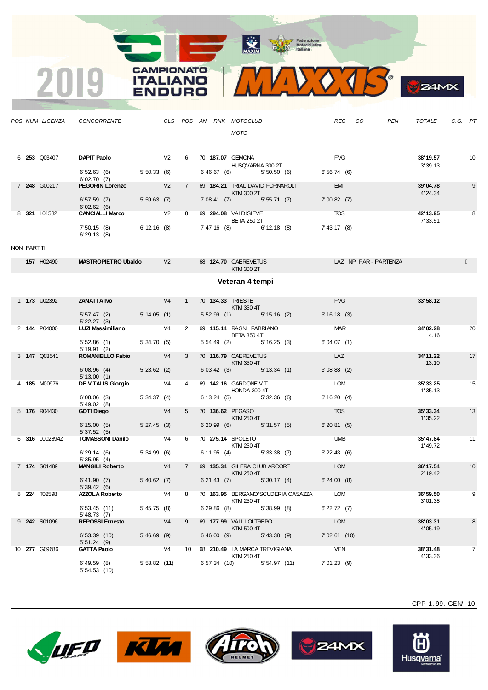**CAMPIONATO** 

**ITALIANO** 

**ENDURO** 

2019

WEOTS **B** ZAMX

|             | POS NUM LICENZA      | CONCORRENTE                                 |                     |                |             |                  | CLS POS AN RNK MOTOCLUB<br>MOTO                                                                                                                                                                                                                                      | REG              | CO                    | TOTALE<br>PEN         | C.G. PT |    |
|-------------|----------------------|---------------------------------------------|---------------------|----------------|-------------|------------------|----------------------------------------------------------------------------------------------------------------------------------------------------------------------------------------------------------------------------------------------------------------------|------------------|-----------------------|-----------------------|---------|----|
|             | 6 253 Q03407         | <b>DAPIT Paolo</b>                          |                     |                | 6           | 70 187.07 GEMONA | HUSQVARNA 300 2T                                                                                                                                                                                                                                                     | <b>FVG</b>       |                       | 38'19.57<br>3'39.13   |         | 10 |
|             |                      | 6' 52.63 (6) 5' 50.33 (6)<br>6'02.70(7)     |                     |                |             |                  | 6' 46.67 (6) 5' 50.50 (6) 6' 56.74 (6)                                                                                                                                                                                                                               |                  |                       |                       |         |    |
|             | 7 248 G00217         | <b>PEGORIN Lorenzo</b> V2                   |                     |                | $7^{\circ}$ |                  | 69 184.21 TRIAL DAVID FORNAROLI<br>KTM 300 2T                                                                                                                                                                                                                        | EMI              |                       | 39'04.78<br>4' 24.34  |         | 9  |
|             |                      | 6'57.59 (7) 5'59.63 (7)<br>6'02.62(6)       | <u>a sa salawan</u> |                |             |                  | 7'08.41 (7) 5'55.71 (7) 7'00.82 (7)                                                                                                                                                                                                                                  |                  |                       |                       |         |    |
|             | 8 321 L01582         | CANCIALLI Marco V2                          |                     |                | 8           |                  | 69 294.08 VALDISIEVE TOS<br><b>BETA 250 2T</b>                                                                                                                                                                                                                       |                  |                       | 42' 13.95<br>7' 33.51 |         | 8  |
|             |                      | 7' 50.15 (8) 6' 12.16 (8)<br>6'29.13(8)     |                     |                |             |                  | 7' 47.16 (8) 6' 12.18 (8)                                                                                                                                                                                                                                            | 7' 43.17 (8)     |                       |                       |         |    |
| NON PARTITI |                      |                                             |                     |                |             |                  |                                                                                                                                                                                                                                                                      |                  |                       |                       |         |    |
|             | 157 H02490           | <b>MASTROPIETRO Ubaldo</b> V2               |                     |                |             |                  | 68 124.70 CAEREVETUS<br>KTM 300 2T                                                                                                                                                                                                                                   |                  | LAZ NP PAR - PARTENZA |                       |         |    |
|             |                      |                                             |                     |                |             |                  | Veteran 4 tempi                                                                                                                                                                                                                                                      |                  |                       |                       |         |    |
|             | 1 <b>173</b> U02392  | <b>ZANATTA Ivo</b> V4                       |                     |                | $1 \quad$   |                  | 70 134.33 TRIESTE<br><b>EXTM 350 4T</b>                                                                                                                                                                                                                              | <b>FVG</b>       |                       | 33'58.12              |         |    |
|             |                      | 5' 57.47 (2) 5' 14.05 (1)<br>$5'$ 22.27 (3) |                     |                |             |                  | $5'52.99$ (1) $5'15.16$ (2)                                                                                                                                                                                                                                          | 6'16.18(3)       |                       |                       |         |    |
|             | 2 144 P04000         | LUZI Massimiliano V4                        |                     |                | $2^{\circ}$ |                  | 69 115.14 RAGNI FABRIANO<br><b>BETA 350 4T</b>                                                                                                                                                                                                                       | <b>MAR</b>       |                       | 34'02.28<br>4.16      |         | 20 |
|             |                      | 5' 52.86 (1) 5' 34.70 (5)<br>5'19.91(2)     |                     |                |             |                  | $5'54.49$ (2) $5'16.25$ (3)                                                                                                                                                                                                                                          | 6'04.07(1)       |                       |                       |         |    |
|             | 3 147 Q03541         | ROMANIELLO Fabio V4                         |                     |                | 3           |                  | 70 116.79 CAEREVETUS<br><b>Example 12 KTM 350 4T</b>                                                                                                                                                                                                                 | LAZ              |                       | 34' 11.22<br>13.10    |         | 17 |
|             |                      | 6'08.96 (4) 5'23.62 (2)<br>5' 13.00 (1)     |                     |                |             |                  | 6' 03.42 (3) 5' 13.34 (1)                                                                                                                                                                                                                                            | $6'08.88$ (2)    |                       |                       |         |    |
|             | 4 185 M00976         | <b>DE VITALIS Giorgio</b> V4                |                     |                |             |                  | 69 142.16 GARDONE V.T.<br>HONDA 300 4T                                                                                                                                                                                                                               | LOM              |                       | 35'33.25<br>1'35.13   |         | 15 |
|             |                      | 6'08.06(3)<br>5' 49.02 (8)                  | 5' 34.37 (4)        |                |             |                  | 6' 13.24 (5) 5' 32.36 (6)                                                                                                                                                                                                                                            | 6'16.20(4)       |                       |                       |         |    |
|             | 5 176 R04430         | <b>GOTI Diego</b>                           | V4                  |                | $5^{\circ}$ |                  | 70 136.62 PEGASO<br>KTM 250 4T                                                                                                                                                                                                                                       | <b>TOS</b>       |                       | 35'33.34<br>1'35.22   |         | 13 |
|             |                      | $6'15.00(5)$ $5'27.45(3)$<br>5'37.52(5)     |                     |                |             |                  | 6'20.99 (6) 5'31.57 (5)                                                                                                                                                                                                                                              | 6'20.81(5)       |                       |                       |         |    |
|             | 6 316 0002894Z       | <b>TOMASSONI Danilo</b> V4                  |                     |                | 6           |                  | 70 275.14 SPOLETO<br><b>KTM 250 4T</b>                                                                                                                                                                                                                               | <b>UMB</b>       |                       | 35'47.84<br>1'49.72   |         | 11 |
|             |                      | 6' 29.14 (6) 5' 34.99 (6)<br>5'35.95(4)     |                     |                |             |                  | 6' 11.95 (4) 5' 33.38 (7)                                                                                                                                                                                                                                            | $6'$ 22.43 (6)   |                       |                       |         |    |
|             | 7 174 S01489         | MANGILI Roberto V4                          |                     |                | $7^{\circ}$ |                  | 69 135.34 GILERA CLUB ARCORE LOM<br>$\blacksquare$ $\blacksquare$ $\blacksquare$ $\blacksquare$ $\blacksquare$ $\blacksquare$ $\blacksquare$ $\blacksquare$ $\blacksquare$ $\blacksquare$ $\blacksquare$ $\blacksquare$ $\blacksquare$ $\blacksquare$ $\blacksquare$ |                  |                       | 36' 17.54<br>2' 19.42 |         | 10 |
|             |                      | 6'41.90(7)<br>5'39.42(6)                    | 5' 40.62(7)         |                |             |                  | 6'21.43 (7) 5'30.17 (4)                                                                                                                                                                                                                                              | 6'24.00(8)       |                       |                       |         |    |
|             | 8 <b>224 T</b> 02598 | <b>AZZOLA Roberto</b>                       |                     | V4             | 8           |                  | 70 163.95 BERGAMO/SCUDERIA CASAZZA<br>KTM 250 4T                                                                                                                                                                                                                     | LOM              |                       | 36'59.50<br>3'01.38   |         | 9  |
|             |                      | 6'53.45(11)<br>$5'$ 48.73 (7)               | 5' 45.75 (8)        |                |             | $6'29.86$ (8)    | 5'38.99(8)                                                                                                                                                                                                                                                           | $6'$ 22.72 $(7)$ |                       |                       |         |    |
|             | 9 242 S01096         | <b>REPOSSI Ernesto</b>                      |                     | V <sub>4</sub> | 9           |                  | 69 177.99 VALLI OLTREPO<br>KTM 500 4T                                                                                                                                                                                                                                | <b>LOM</b>       |                       | 38'03.31<br>4'05.19   |         | 8  |
|             |                      | 6'53.39(10)<br>5'51.24(9)                   | $5'46.69$ (9)       |                |             | 6'46.00(9)       | $5' 43.38$ (9)                                                                                                                                                                                                                                                       | $7'02.61$ (10)   |                       |                       |         |    |
|             | 10 277 G09686        | <b>GATTA Paolo</b>                          |                     | V <sub>4</sub> | 10          |                  | 68 210.49 LA MARCA TREVIGIANA<br>KTM 250 4T                                                                                                                                                                                                                          | <b>VEN</b>       |                       | 38'31.48<br>4'33.36   |         | 7  |
|             |                      | 6' 49.59 (8)<br>5'54.53(10)                 | 5'53.82(11)         |                |             |                  | 6'57.34 (10)<br>5' 54.97 (11)                                                                                                                                                                                                                                        | 7'01.23(9)       |                       |                       |         |    |









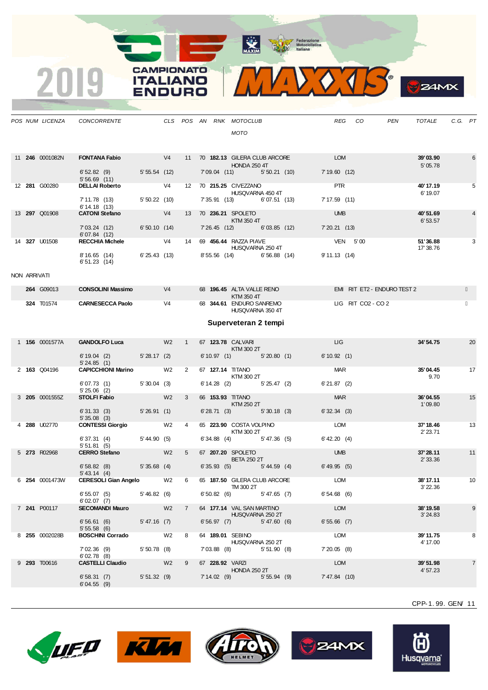

|              | POS NUM LICENZA        | CONCORRENTE                                 |              |                |                |  | CLS POS AN RNK MOTOCLUB<br><b>MOTO</b>                                    |                | REG                        | CO                          | PEN | TOTALE                | C.G. PT |                |
|--------------|------------------------|---------------------------------------------|--------------|----------------|----------------|--|---------------------------------------------------------------------------|----------------|----------------------------|-----------------------------|-----|-----------------------|---------|----------------|
|              |                        |                                             |              |                |                |  |                                                                           |                |                            |                             |     |                       |         |                |
|              | 11 <b>246</b> 0001082N | <b>FONTANA Fabio</b>                        | V4           |                |                |  | 11 70 182.13 GILERA CLUB ARCORE<br><b>HONDA 250 4T</b>                    |                | <b>LOM</b>                 |                             |     | 39'03.90<br>5' 05.78  |         | 6              |
|              |                        | $6'52.82$ (9) $5'55.54$ (12)<br>5'56.69(11) |              |                |                |  | 7'09.04 (11) 5'50.21 (10)                                                 |                | 7'19.60(12)                |                             |     |                       |         |                |
|              | 12 281 G00280          | <b>DELLAI Roberto</b><br>7' 11.78 (13)      | 5'50.22(10)  | V <sub>4</sub> |                |  | 12 70 215.25 CIVEZZANO<br>HUSQVARNA 450 4T<br>7' 35.91 (13) 6' 07.51 (13) |                | <b>PTR</b><br>7'17.59(11)  |                             |     | 40'17.19<br>6' 19.07  |         | 5              |
|              |                        | 6' 14.18(13)                                |              |                |                |  |                                                                           |                |                            |                             |     |                       |         |                |
|              | 13 297 Q01908          | <b>CATONI Stefano</b>                       | V4           |                |                |  | 13 70 236.21 SPOLETO<br>KTM 350 4T                                        |                | <b>UMB</b>                 |                             |     | 40'51.69<br>6'53.57   |         | 4              |
|              |                        | 7'03.24 (12)<br>6'07.84(12)                 | 6'50.10(14)  |                |                |  | 7' 26.45 (12)                                                             | 6'03.85(12)    | 7'20.21(13)                |                             |     |                       |         |                |
|              | 14 327 U01508          | RECCHIA Michele V4                          |              |                |                |  | 14 69 <b>456.44 RAZZA PIAVE</b><br>HUSQVARNA 250 4T                       |                | VEN 5'00                   |                             |     | 51'36.88<br>17' 38.76 |         | 3              |
|              |                        | 8'16.65(14)<br>6'51.23(14)                  | 6'25.43(13)  |                |                |  | 8'55.56 (14) 6'56.88 (14)                                                 |                | 9'11.13(14)                |                             |     |                       |         |                |
| NON ARRIVATI |                        |                                             |              |                |                |  |                                                                           |                |                            |                             |     |                       |         |                |
|              | 264 G09013             | <b>CONSOLINI Massimo</b>                    | V4           |                |                |  | 68 196.45 ALTA VALLE RENO<br>KTM 350 4T                                   |                |                            | EMI RIT ET2 - ENDURO TEST 2 |     |                       |         |                |
|              | <b>324 T01574</b>      | CARNESECCA Paolo V4                         |              |                |                |  | 68 344.61 ENDURO SANREMO<br>HUSQVARNA 350 4T                              |                |                            | LIG RIT CO2 - CO 2          |     |                       |         |                |
|              |                        |                                             |              |                |                |  | Superveteran 2 tempi                                                      |                |                            |                             |     |                       |         |                |
|              | 1 <b>156</b> 0001577A  | GANDOLFO Luca W2                            |              |                | 1              |  | 67 123.78 CALVARI<br>KTM 300 2T                                           |                | <b>LIG</b>                 |                             |     | 34'54.75              |         | 20             |
|              |                        | $6' 19.04$ (2)<br>5'24.85(1)                | 5'28.17(2)   |                |                |  | 6'10.97(1)                                                                | 5'20.80(1)     | 6'10.92(1)                 |                             |     |                       |         |                |
|              | 2 163 Q04196           | <b>CAPICCHIONI Marino</b>                   |              | W <sub>2</sub> | $2^{\circ}$    |  | 67 127.14 TITANO                                                          |                | MAR                        |                             |     | 35'04.45              |         | 17             |
|              |                        | 6'07.73(1)<br>$5'25.06$ (2)                 | 5'30.04(3)   |                |                |  | KTM 300 2T<br>$6'14.28$ (2) $5'25.47$ (2)                                 |                | 6'21.87(2)                 |                             |     | 9.70                  |         |                |
|              | 3 205 0001555Z         | <b>STOLFI Fabio</b>                         |              | W <sub>2</sub> | 3              |  | 66 153.93 TITANO                                                          |                | <b>MAR</b>                 |                             |     | 36'04.55              |         | 15             |
|              |                        | 6'31.33(3)<br>5'35.08(3)                    | 5'26.91(1)   |                |                |  | KTM 250 2T<br>$6'28.71$ (3) $5'30.18$ (3)                                 |                | 6'32.34(3)                 |                             |     | 1'09.80               |         |                |
|              | 4 288 U02770           | <b>CONTESSI Giorgio</b>                     |              | W2             | $\overline{4}$ |  | 65 223.90 COSTA VOLPINO                                                   |                | <b>LOM</b>                 |                             |     | 37' 18.46             |         | 13             |
|              |                        | 6'37.31(4)<br>5'51.81(5)                    | 5' 44.90(5)  |                |                |  | KTM 300 2T<br>$6'34.88$ (4) $5'47.36$ (5)                                 |                | 6' 42.20 (4)               |                             |     | 2' 23.71              |         |                |
|              | 5 273 R02968           | <b>CERRO Stefano</b>                        |              | W <sub>2</sub> | 5 <sub>5</sub> |  | 67 207.20 SPOLETO<br><b>BETA 250 2T</b>                                   |                | <b>UMB</b>                 |                             |     | 37'28.11              |         | 11             |
|              |                        | $5'35.68$ (4)<br>6'58.82(8)<br>5' 43.14 (4) |              |                |                |  | 6'35.93(5)                                                                | $5' 44.59$ (4) | 6' 49.95 (5)               |                             |     | 2' 33.36              |         |                |
|              | 6 254 0001473W         | CERESOLI Gian Angelo W2                     |              |                | 6              |  | 65 187.50 GILERA CLUB ARCORE<br>TM 300 2T                                 |                | <b>EXAMPLE DESCRIPTION</b> |                             |     | 38'17.11<br>3' 22.36  |         | 10             |
|              |                        | $6'55.07(5)$ $5'46.82(6)$<br>6'02.07(7)     |              |                |                |  | $6'50.82$ (6) $5'47.65$ (7)                                               |                | 6'54.68(6)                 |                             |     |                       |         |                |
|              | 7 241 P00117           | <b>SECOMANDI Mauro</b> W2                   |              |                | 7              |  | 64 177.14 VAL SAN MARTINO<br>HUSQVARNA 250 2T                             |                | LOM                        |                             |     | 38'19.58<br>3'24.83   |         | 9              |
|              |                        | $6'56.61$ (6) $5'47.16$ (7)<br>5'55.58(6)   |              |                |                |  | $6'56.97$ (7) $5'47.60$ (6)                                               |                | $6'55.66$ (7)              |                             |     |                       |         |                |
|              | 8 255 0002028B         | BOSCHINI Corrado W2                         |              |                | 8              |  | 64 189.01 SEBINO                                                          |                | LOM                        |                             |     | 39'11.75              |         | 8              |
|              |                        | 7'02.36 (9)<br>6'02.78(8)                   | 5'50.78(8)   |                |                |  | HUSQVARNA 250 2T<br>7'03.88 (8) 5'51.90 (8)                               |                | 7'20.05(8)                 |                             |     | 4' 17.00              |         |                |
|              | 9 293 T00616           | <b>CASTELLI Claudio</b> W2                  |              |                | 9              |  | 67 228.92 VARZI<br><b>HONDA 250 2T</b>                                    |                | LOM                        |                             |     | 39'51.98<br>4'57.23   |         | $\overline{7}$ |
|              |                        | 6'58.31(7)<br>6'04.55(9)                    | 5' 51.32 (9) |                |                |  | $7'14.02$ (9)                                                             | 5' 55.94 (9)   | 7'47.84 (10)               |                             |     |                       |         |                |



2019

**ITALIANO** 

**ENDURO** 







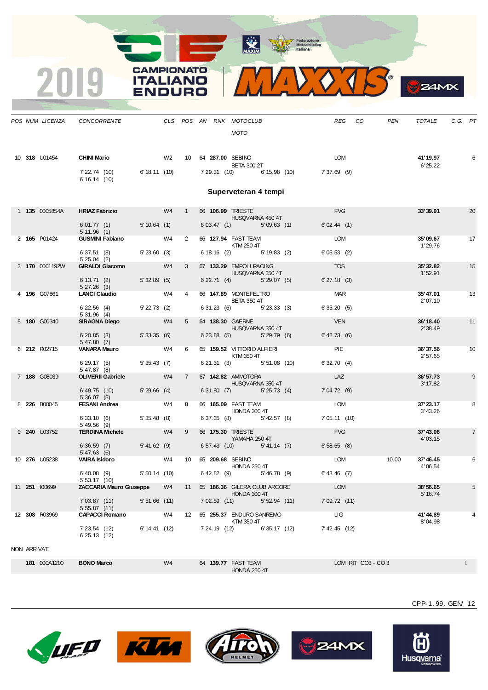

|              |                     | POS NUM LICENZA CONCORRENTE                                    |                |    |             |               | CLS POS AN RNK MOTOCLUB<br><b>MOTO</b>                                |                  |                                                    |                              | REG CO            | PEN   | TOTALE                | C.G. PT |                |
|--------------|---------------------|----------------------------------------------------------------|----------------|----|-------------|---------------|-----------------------------------------------------------------------|------------------|----------------------------------------------------|------------------------------|-------------------|-------|-----------------------|---------|----------------|
|              | 10 318 U01454       | <b>CHINI Mario</b><br>7' 22.74 (10)<br>6'16.14(10)             |                |    |             |               | W2 10 64 287.00 SEBINO<br><b>BETA 300 2T</b>                          |                  | 6'18.11 (10) 7'29.31 (10) 6'15.98 (10) 7'37.69 (9) | LOM                          |                   |       | 41' 19.97<br>6' 25.22 |         | 6              |
|              |                     |                                                                |                |    |             |               | Superveteran 4 tempi                                                  |                  |                                                    |                              |                   |       |                       |         |                |
|              | 1 135 0005854A      | HRIAZ Fabrizio W4 1                                            |                |    |             |               | 66 106.99 TRIESTE<br><b>HUSQVARNA 450 4T</b>                          |                  |                                                    | <b>FVG</b>                   |                   |       | 33'39.91              |         | 20             |
|              |                     | 6'01.77 (1) 5'10.64 (1)<br>5'11.96(1)                          |                |    |             |               |                                                                       |                  | $6'03.47$ (1) $5'09.63$ (1)                        | 6'02.44(1)                   |                   |       |                       |         |                |
|              | 2 165 P01424        | <b>GUSMINI Fabiano</b> W4<br>6'37.51 (8) 5'23.60 (3)           |                |    | $2^{\circ}$ |               | 66 127.94 FAST TEAM<br>KTM 250 4T                                     |                  | 6' 18.16 (2) 5' 19.83 (2)                          | LOM<br>6'05.53(2)            |                   |       | 35'09.67<br>1'29.76   |         | 17             |
|              | 3 170 0001192W      | $5'25.04$ (2)<br>GIRALDI Giacomo W4                            |                |    | $3^{\circ}$ |               | 67 133.29 EMPOLI RACING                                               |                  |                                                    | <b>TOS</b>                   |                   |       | 35'32.82              |         | 15             |
|              |                     | 6' 13.71 (2) 5' 32.89 (5)<br>5'27.26(3)                        |                |    |             |               |                                                                       | HUSQVARNA 350 4T | 6' 22.71 (4) 5' 29.07 (5)                          | $6'$ 27.18 $(3)$             |                   |       | 1'52.91               |         |                |
|              | 4 196 G07861        | 5' 27.26 (3)<br><b>LANCI Claudio</b> W4                        |                |    | $4 \quad$   |               | 66 147.89 MONTEFELTRO<br><b>BETA 350 4T</b>                           |                  |                                                    | <b>MAR</b>                   |                   |       | 35'47.01<br>2' 07.10  |         | 13             |
|              |                     | 6' 22.56 (4) 5' 22.73 (2)<br>5'31.96(4)                        |                |    |             |               | 6' 31.23 (6) 5' 23.33 (3)                                             |                  |                                                    | 6'35.20(5)                   |                   |       |                       |         |                |
|              | 5 180 G00340        | <b>SIRAGNA Diego</b><br>$6'20.85$ (3) $5'33.35$ (6)            | W4             |    | $5^{\circ}$ |               | 64 138.30 GAERNE<br>HUSQVARNA 350 4T<br>$6'$ 23.88 (5) $5'$ 29.79 (6) |                  |                                                    | <b>VEN</b><br>$6'$ 42.73 (6) |                   |       | 36' 18.40<br>2'38.49  |         | 11             |
|              | 6 212 R02715        | 5' 47.80 (7)<br>VANARA Mauro W4                                |                |    | 6           |               | 65 159.52 VITTORIO ALFIERI                                            |                  |                                                    | <b>PIE</b>                   |                   |       | 36'37.56              |         | 10             |
|              |                     | $6'29.17(5)$ $5'35.43(7)$<br>5' 47.87(8)                       |                |    |             |               | <b>KTM 350 4T</b><br>6'21.31 (3) 5'51.08 (10)                         |                  |                                                    | 6'32.70(4)                   |                   |       | 2'57.65               |         |                |
|              | 7 188 G08039        | <b>OLIVERII Gabriele</b>                                       | <b>WA</b>      |    | 7           |               | 67 142.82 AMMOTORA<br><b>HUSQVARNA 350 4T</b>                         |                  |                                                    | LAZ                          |                   |       | 36'57.73<br>3' 17.82  |         | 9              |
|              |                     | 6' 49.75 (10) 5' 29.66 (4)<br>5'36.07(5)                       |                |    |             |               | 6'31.80 (7) 5'25.73 (4)                                               |                  |                                                    | 7'04.72(9)                   |                   |       |                       |         |                |
|              | 8 226 B00045        | FESANI Andrea W4                                               |                |    | 8           |               | 66 165.09 FAST TEAM<br>HONDA 300 4T                                   |                  |                                                    | LOM                          |                   |       | 37'23.17<br>3' 43.26  |         | 8              |
|              |                     | $6'33.10(6)$ $5'35.48(8)$<br>$5' 49.56$ (9)                    |                |    |             |               | 6' 37.35 (8) 5' 42.57 (8)                                             |                  |                                                    | 7' 05.11 (10)                |                   |       |                       |         |                |
|              | 9 <b>240</b> U03752 | TERDINA Michele W4                                             |                |    | 9           |               | 66 175.30 TRIESTE<br>YAMAHA 250 4T                                    |                  |                                                    | <b>FVG</b>                   |                   |       | 37'43.06<br>4'03.15   |         | $\overline{7}$ |
|              |                     | $6'36.59$ (7) $5'41.62$ (9)<br>5'47.63(6)                      |                |    |             |               |                                                                       |                  | 6' 57.43 (10) 5' 41.14 (7)                         | 6'58.65(8)                   |                   |       |                       |         |                |
|              | 10 276 U05238       | VAIRA Isidoro W4 10 65 209.68 SEBINO                           |                |    |             |               | <b>HONDA 250 4T</b>                                                   |                  |                                                    | <b>LOM</b>                   |                   | 10.00 | 37'46.45<br>4'06.54   |         | 6              |
|              |                     | $6'$ 40.08 (9) $5'$ 50.14 (10)<br>5' 53.17 (10)                |                |    |             |               | $6'$ 42.82 $(9)$                                                      |                  | 5'46.78 (9) 6'43.46 (7)                            |                              |                   |       |                       |         |                |
|              | 11 251 100699       | ZACCARIA Mauro Giuseppe W4 11 65 186.36 GILERA CLUB ARCORE LOM |                |    |             |               | HONDA 300 4T                                                          |                  |                                                    |                              |                   |       | 38'56.65<br>5' 16.74  |         |                |
|              |                     | 7'03.87(11)<br>5'55.87(11)                                     | $5'51.66$ (11) |    |             | 7'02.59(11)   |                                                                       | 5'52.94(11)      |                                                    | 7'09.72(11)                  |                   |       |                       |         |                |
|              | 12 308 R03969       | <b>CAPACCI Romano</b>                                          |                | W4 |             |               | 12 65 255.37 ENDURO SANREMO<br>KTM 350 4T                             |                  |                                                    | ЦG                           |                   |       | 41'44.89<br>8'04.98   |         | 4              |
|              |                     | 7' 23.54 (12)<br>6'25.13(12)                                   | 6' 14.41 (12)  |    |             | 7' 24.19 (12) |                                                                       | 6'35.17(12)      |                                                    | 7' 42.45 (12)                |                   |       |                       |         |                |
| NON ARRIVATI |                     |                                                                |                |    |             |               |                                                                       |                  |                                                    |                              |                   |       |                       |         |                |
|              | 181 000A1200        | <b>BONO Marco</b>                                              |                | W4 |             |               | 64 139.77 FAST TEAM<br><b>HONDA 250 4T</b>                            |                  |                                                    |                              | LOM RIT CO3 - CO3 |       |                       |         |                |

CPP-1. 99. GEN/ 12



2019







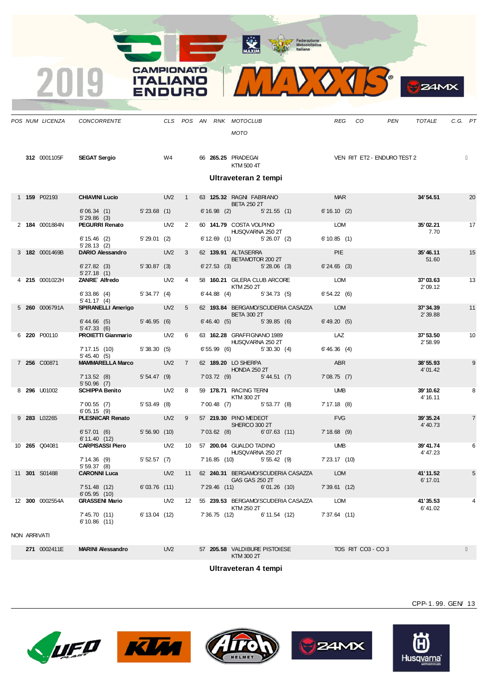**MAXIM** Federazione<br>
Motociclistica<br>
Laliana



|              | POS NUM LICENZA | CONCORRENTE                                |               |                 |                |  | CLS POS AN RNK MOTOCLUB                         |              |                                               | <b>REG</b>     | CO | <b>PEN</b>                  | <b>TOTALE</b>        | C.G. PT |                 |
|--------------|-----------------|--------------------------------------------|---------------|-----------------|----------------|--|-------------------------------------------------|--------------|-----------------------------------------------|----------------|----|-----------------------------|----------------------|---------|-----------------|
|              |                 |                                            |               |                 |                |  | MOTO                                            |              |                                               |                |    |                             |                      |         |                 |
|              |                 |                                            |               |                 |                |  |                                                 |              |                                               |                |    |                             |                      |         |                 |
|              | 312 0001105F    | <b>SEGAT Sergio</b>                        |               | W4              |                |  | 66 265.25 PRADEGAI<br>KTM 500 4T                |              |                                               |                |    | VEN RIT ET2 - ENDURO TEST 2 |                      |         |                 |
|              |                 |                                            |               |                 |                |  | Ultraveteran 2 tempi                            |              |                                               |                |    |                             |                      |         |                 |
|              |                 |                                            |               |                 |                |  |                                                 |              |                                               |                |    |                             |                      |         |                 |
|              | 1 159 P02193    | <b>CHIAVINI Lucio CHIAVINI</b>             |               | UV2             | $\overline{1}$ |  | 63 125.32 RAGNI FABRIANO<br><b>BETA 250 2T</b>  |              |                                               | <b>MAR</b>     |    |                             | 34' 54.51            |         | 20              |
|              |                 | 6'06.34(1)<br>5'29.86(3)                   | 5'23.68(1)    |                 |                |  | $6'16.98$ (2) $5'21.55$ (1)                     |              |                                               | 6'16.10(2)     |    |                             |                      |         |                 |
|              | 2 184 0001884N  | <b>PEGURRI Renato</b>                      |               | UV <sub>2</sub> | 2              |  | 60 141.79 COSTA VOLPINO<br>HUSQVARNA 250 2T     |              |                                               | LOM            |    |                             | 35'02.21<br>7.70     |         | 17              |
|              |                 | $6' 15.46$ (2)<br>5'28.13(2)               | 5'29.01(2)    |                 |                |  | $6'12.69$ (1) $5'26.07$ (2)                     |              |                                               | 6'10.85(1)     |    |                             |                      |         |                 |
|              | 3 182 0001469B  | DARIO Alessandro                           |               | UV <sub>2</sub> | $\mathbf{3}$   |  | 62 139.91 ALTASERRA                             |              |                                               | <b>PIE</b>     |    |                             | 35'46.11             |         | 15              |
|              |                 | $6'$ 27.82 $(3)$                           | 5'30.87(3)    |                 |                |  | BETAMOTOR 200 2T<br>$6'27.53$ (3) $5'28.06$ (3) |              |                                               | 6'24.65(3)     |    |                             | 51.60                |         |                 |
|              | 4 215 0001022H  | 5'27.18(1)<br>ZANRE Alfredo                |               | UV <sub>2</sub> | $\overline{4}$ |  | 58 160.21 GILERA CLUB ARCORE                    |              |                                               | LOM            |    |                             | 37'03.63             |         | 13              |
|              |                 | 6'33.86(4)                                 | 5'34.77(4)    |                 |                |  | KTM 250 2T<br>$6' 44.88$ (4) $5' 34.73$ (5)     |              |                                               | 6'54.22(6)     |    |                             | 2'09.12              |         |                 |
|              | 5 260 0006791A  | 5' 41.17 (4)<br>SPIRANELLI Amerigo         |               | UV <sub>2</sub> | 5 <sup>5</sup> |  | <b>BETA 300 2T</b>                              |              | 62 193.84 BERGAMO/SCUDERIA CASAZZA            | <b>LOM</b>     |    |                             | 37'34.39<br>2' 39.88 |         | 11              |
|              |                 | $6' 44.66$ (5)<br>5' 47.33(6)              | 5'46.95(6)    |                 |                |  | $6'46.40(5)$ $5'39.85(6)$                       |              |                                               | 6' 49.20(5)    |    |                             |                      |         |                 |
|              | 6 220 P00110    | PROIETTI Gianmario                         |               | UV2             | 6              |  | 63 162.28 GRAFFIGNANO 1989<br>HUSQVARNA 250 2T  |              |                                               | LAZ            |    |                             | 37' 53.50<br>2'58.99 |         | 10 <sup>1</sup> |
|              |                 | 7' 17.15 (10)<br>5' 45.40(5)               | 5'38.30(5)    |                 |                |  | $6'55.99$ (6) $5'30.30$ (4)                     |              |                                               | 6'46.36(4)     |    |                             |                      |         |                 |
|              | 7 256 C00871    | <b>MAMMARELLA Marco</b>                    |               | UV <sub>2</sub> | $\overline{7}$ |  | 62 189.20 LO SHERPA<br><b>HONDA 250 2T</b>      |              |                                               | ABR            |    |                             | 38'55.93<br>4'01.42  |         | 9               |
|              |                 | 7' 13.52 (8) 5' 54.47 (9)<br>$5'50.96$ (7) |               |                 |                |  | 7'03.72(9)                                      | 5' 44.51 (7) |                                               | 7'08.75(7)     |    |                             |                      |         |                 |
|              | 8 296 U01002    | <b>SCHIPPA Benito</b>                      |               | UV <sub>2</sub> | $_{\rm 8}$     |  | 59 178.71 RACING TERNI                          |              |                                               | <b>UMB</b>     |    |                             | 39' 10.62            |         | 8               |
|              |                 | 7'00.55(7)<br>6'05.15(9)                   | 5'53.49(8)    |                 |                |  | KTM 300 2T<br>7'00.48 (7) 5'53.77 (8)           |              |                                               | 7' 17.18 (8)   |    |                             | 4' 16.11             |         |                 |
|              | 9 283 L02265    | PLESNICAR Renato                           |               | UV <sub>2</sub> | 9              |  | 57 219.30 PINO MEDEOT                           |              |                                               | <b>FVG</b>     |    |                             | 39'35.24             |         | $\overline{7}$  |
|              |                 | 6'57.01(6)                                 | 5'56.90(10)   |                 |                |  | SHERCO 300 2T<br>$7'03.62$ (8)                  | 6'07.63(11)  |                                               | $7'18.68$ (9)  |    |                             | 4' 40.73             |         |                 |
|              | 10 265 Q04081   | 6' 11.40 (12)<br><b>CARPISASSI Piero</b>   |               | UV <sub>2</sub> | 10             |  | 57 200.04 GUALDO TADINO                         |              |                                               | <b>UMB</b>     |    |                             | 39'41.74             |         | 6               |
|              |                 | 7' 14.36 (9)                               | 5'52.57(7)    |                 |                |  | HUSQVARNA 250 2T<br>7' 16.85 (10) 5' 55.42 (9)  |              |                                               | 7'23.17(10)    |    |                             | 4' 47.23             |         |                 |
|              |                 | 5'59.37(8)                                 |               |                 |                |  |                                                 |              |                                               |                |    |                             |                      |         |                 |
|              | 11 301 S01488   | <b>CARONNI Luca</b>                        |               | UV <sub>2</sub> | 11             |  | GAS GAS 250 2T                                  |              | 62 240.31 BERGAMO/SCUDERIA CASAZZA            | LOM            |    |                             | 41'11.52<br>6' 17.01 |         | 5               |
|              |                 | 7' 51.48 (12)<br>6'05.95(10)               | 6'03.76 (11)  |                 |                |  |                                                 |              | 7'29.46 (11) 6'01.26 (10)                     | $7'39.61$ (12) |    |                             |                      |         |                 |
|              | 12 300 0002554A | <b>GRASSENI Mario</b>                      |               |                 |                |  | KTM 250 2T                                      |              | UV2 12 55 239.53 BERGAMO/SCUDERIA CASAZZA LOM |                |    |                             | 41'35.53<br>6'41.02  |         |                 |
|              |                 | 7' 45.70 (11)<br>6'10.86(11)               | 6' 13.04 (12) |                 |                |  |                                                 |              | 7' 36.75 (12) 6' 11.54 (12)                   | 7'37.64 (11)   |    |                             |                      |         |                 |
| NON ADDIVATE |                 |                                            |               |                 |                |  |                                                 |              |                                               |                |    |                             |                      |         |                 |

NON ARRIVATI

**271** 0002411E **MARINI Alessandro** UV2 57 **205.58** VALDIBURE PISTOIESE TOS RIT CO3 - CO 3

 $\overline{2}$ 

KTM 300 2T **Ultraveteran 4 tempi**











CPP-1. 99. GEN/ 13